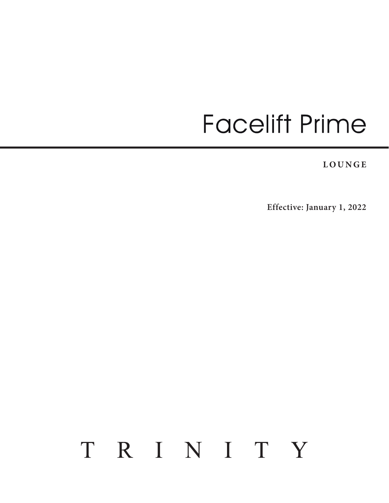# **Facelift Prime**

**LOUNGE**

**Effective: January 1, 2022**

# TRINITY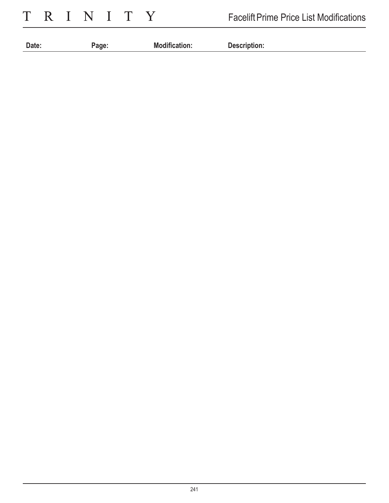TRINITY

| <b>Date</b><br>$-$ | IVІ<br>. |  |
|--------------------|----------|--|
|                    |          |  |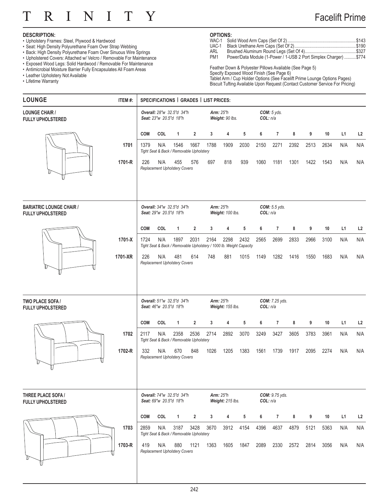#### T T R. N T T Y

## Facelift Prime

## **DESCRIPTION:**

- Upholstery Frames: Steel, Plywood & Hardwood
- Seat: High Density Polyurethane Foam Over Strap Webbing
- Back: High Density Polyurethane Foam Over Sinuous Wire Springs
- Upholstered Covers: Attached w/ Velcro / Removable For Maintenance
- Exposed Wood Legs: Solid Hardwood / Removable For Maintenance
- Antimicrobial Moisture Barrier Fully Encapsulates All Foam Areas
- Leather Upholstery Not Available
- Lifetime Warranty

### **OPTIONS:**

- WAC-1 Solid Wood Arm Caps (Set Of 2)...........................................................\$143
- UAC-1 Black Urethane Arm Caps (Set Of 2).....................................................\$190 ARL Brushed Aluminum Round Legs (Set Of 4)............................................\$327
- PM1 Power/Data Module (1-Power / 1-USB 2 Port Simplex Charger) .......... \$774

Feather Down & Polyester Pillows Available (See Page 5) Specify Exposed Wood Finish (See Page 6) Tablet Arm / Cup Holder Options (See Facelift Prime Lounge Options Pages) Biscuit Tufting Available Upon Request (Contact Customer Service For Pricing)

| <b>LOUNGE</b>                                               | ITEM#:  | SPECIFICATIONS   GRADES   LIST PRICES: |                        |                                                  |                |                                                                             |                                      |      |          |                      |      |      |      |     |     |
|-------------------------------------------------------------|---------|----------------------------------------|------------------------|--------------------------------------------------|----------------|-----------------------------------------------------------------------------|--------------------------------------|------|----------|----------------------|------|------|------|-----|-----|
| <b>LOUNGE CHAIR /</b><br><b>FULLY UPHOLSTERED</b>           |         |                                        | Seat: 23"w 20.5"d 18"h | Overall: 28"w 32.5"d 34"h                        |                |                                                                             | <b>Arm: 25"h</b><br>Weight: 90 lbs.  |      | COL: n/a | COM: 5 yds.          |      |      |      |     |     |
|                                                             |         | <b>COM</b>                             | COL                    | 1                                                | $\overline{2}$ | 3                                                                           | 4                                    | 5    | 6        | $\overline{7}$       | 8    | 9    | 10   | L1  | L2  |
|                                                             | 1701    | 1379                                   | N/A                    | 1546<br>Tight Seat & Back / Removable Upholstery | 1667           | 1788                                                                        | 1909                                 | 2030 | 2150     | 2271                 | 2392 | 2513 | 2634 | N/A | N/A |
|                                                             | 1701-R  | 226                                    | N/A                    | 455<br>Replacement Upholstery Covers             | 576            | 697                                                                         | 818                                  | 939  | 1060     | 1181                 | 1301 | 1422 | 1543 | N/A | N/A |
| <b>BARIATRIC LOUNGE CHAIR /</b><br><b>FULLY UPHOLSTERED</b> |         |                                        | Seat: 29"w 20.5"d 18"h | Overall: 34"w 32.5"d 34"h                        |                |                                                                             | <b>Arm: 25"h</b><br>Weight: 100 lbs. |      | COL: n/a | <b>COM:</b> 5.5 yds. |      |      |      |     |     |
|                                                             |         | <b>COM</b>                             | COL                    | $\mathbf{1}$                                     | $\overline{2}$ | 3                                                                           | 4                                    | 5    | 6        | $\overline{7}$       | 8    | 9    | 10   | L1  | L2  |
|                                                             | 1701-X  | 1724                                   | N/A                    | 1897                                             | 2031           | 2164<br>Tight Seat & Back / Removable Upholstery / 1000 lb. Weight Capacity | 2298                                 | 2432 | 2565     | 2699                 | 2833 | 2966 | 3100 | N/A | N/A |
|                                                             | 1701-XR | 226                                    | N/A                    | 481<br>Replacement Upholstery Covers             | 614            | 748                                                                         | 881                                  | 1015 | 1149     | 1282                 | 1416 | 1550 | 1683 | N/A | N/A |
| TWO PLACE SOFA /<br><b>FULLY UPHOLSTERED</b>                |         |                                        | Seat: 46"w 20.5"d 18"h | Overall: 51"w 32.5"d 34"h                        |                |                                                                             | <b>Arm: 25"h</b><br>Weight: 155 lbs. |      | COL: n/a | COM: 7.25 yds.       |      |      |      |     |     |
|                                                             |         | <b>COM</b>                             | COL                    | $\mathbf{1}$                                     | $\overline{2}$ | 3                                                                           | 4                                    | 5    | 6        | $\overline{7}$       | 8    | 9    | 10   | L1  | L2  |
|                                                             | 1702    | 2117                                   | N/A                    | 2358<br>Tight Seat & Back / Removable Upholstery | 2536           | 2714                                                                        | 2892                                 | 3070 | 3249     | 3427                 | 3605 | 3783 | 3961 | N/A | N/A |
|                                                             | 1702-R  | 332                                    | N/A                    | 670<br>Replacement Upholstery Covers             | 848            | 1026                                                                        | 1205                                 | 1383 | 1561     | 1739                 | 1917 | 2095 | 2274 | N/A | N/A |
| THREE PLACE SOFA /<br>FULLY UPHOLSTERED                     |         |                                        | Seat: 69"w 20.5"d 18"h | Overall: 74"w 32.5"d 34"h                        |                |                                                                             | <b>Arm: 25"h</b><br>Weight: 215 lbs. |      | COL: n/a | COM: 9.75 yds.       |      |      |      |     |     |
|                                                             |         | <b>COM</b>                             | COL                    | $\mathbf{1}$                                     | $\overline{2}$ | 3 <sup>1</sup>                                                              | 4                                    | 5    | 6        | $\overline{7}$       | 8    | 9    | 10   | L1  | L2  |
|                                                             | 1703    | 2859                                   | N/A                    | 3187<br>Tight Seat & Back / Removable Upholstery | 3428           | 3670                                                                        | 3912                                 | 4154 | 4396     | 4637                 | 4879 | 5121 | 5363 | N/A | N/A |
|                                                             | 1703-R  | 419                                    | N/A                    | 880<br><b>Replacement Upholstery Covers</b>      | 1121           | 1363                                                                        | 1605                                 | 1847 | 2089     | 2330                 | 2572 | 2814 | 3056 | N/A | N/A |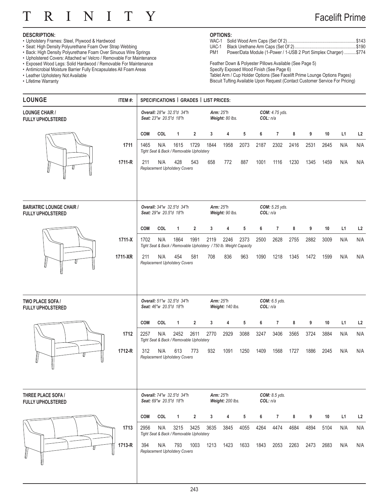#### T T R. N T T Y

## Facelift Prime

#### **DESCRIPTION:**

- Upholstery Frames: Steel, Plywood & Hardwood
- Seat: High Density Polyurethane Foam Over Strap Webbing
- Back: High Density Polyurethane Foam Over Sinuous Wire Springs
- Upholstered Covers: Attached w/ Velcro / Removable For Maintenance
- Exposed Wood Legs: Solid Hardwood / Removable For Maintenance
- Antimicrobial Moisture Barrier Fully Encapsulates All Foam Areas
- Leather Upholstery Not Available
- Lifetime Warranty

## **OPTIONS:**<br>WAC-1 So

PM1 Power/Data Module (1-Power / 1-USB 2 Port Simplex Charger) ..........\$774

Feather Down & Polyester Pillows Available (See Page 5) Specify Exposed Wood Finish (See Page 6) Tablet Arm / Cup Holder Options (See Facelift Prime Lounge Options Pages) Biscuit Tufting Available Upon Request (Contact Customer Service For Pricing)

| <b>LOUNGE</b>                                               | ITEM #: |            |                        |                                                  |                | SPECIFICATIONS   GRADES   LIST PRICES:                                     |                                      |      |          |                      |      |      |      |     |     |
|-------------------------------------------------------------|---------|------------|------------------------|--------------------------------------------------|----------------|----------------------------------------------------------------------------|--------------------------------------|------|----------|----------------------|------|------|------|-----|-----|
| <b>LOUNGE CHAIR /</b><br><b>FULLY UPHOLSTERED</b>           |         |            | Seat: 23"w 20.5"d 18"h | Overall: 28"w 32.5"d 34"h                        |                |                                                                            | <b>Arm: 25"h</b><br>Weight: 80 lbs.  |      | COL: n/a | COM: 4.75 yds.       |      |      |      |     |     |
|                                                             |         | <b>COM</b> | COL                    | 1                                                | $\overline{2}$ | 3                                                                          | 4                                    | 5    | 6        | $\overline{7}$       | 8    | 9    | 10   | L1  | L2  |
|                                                             | 1711    | 1465       | N/A                    | 1615<br>Tight Seat & Back / Removable Upholstery | 1729           | 1844                                                                       | 1958                                 | 2073 | 2187     | 2302                 | 2416 | 2531 | 2645 | N/A | N/A |
|                                                             | 1711-R  | 211        | N/A                    | 428<br><b>Replacement Upholstery Covers</b>      | 543            | 658                                                                        | 772                                  | 887  | 1001     | 1116                 | 1230 | 1345 | 1459 | N/A | N/A |
| <b>BARIATRIC LOUNGE CHAIR /</b><br><b>FULLY UPHOLSTERED</b> |         |            | Seat: 29"w 20.5"d 18"h | Overall: 34"w 32.5"d 34"h                        |                |                                                                            | <b>Arm: 25"h</b><br>Weight: 90 lbs.  |      | COL: n/a | $COM: 5.25$ yds.     |      |      |      |     |     |
|                                                             |         | <b>COM</b> | COL                    | $\mathbf{1}$                                     | $\overline{2}$ | 3                                                                          | 4                                    | 5    | 6        | $\overline{7}$       | 8    | 9    | 10   | L1  | L2  |
|                                                             | 1711-X  | 1702       | N/A                    | 1864                                             | 1991           | 2119<br>Tight Seat & Back / Removable Upholstery / 750 lb. Weight Capacity | 2246                                 | 2373 | 2500     | 2628                 | 2755 | 2882 | 3009 | N/A | N/A |
|                                                             | 1711-XR | 211        | N/A                    | 454<br>Replacement Upholstery Covers             | 581            | 708                                                                        | 836                                  | 963  | 1090     | 1218                 | 1345 | 1472 | 1599 | N/A | N/A |
| <b>TWO PLACE SOFA /</b><br><b>FULLY UPHOLSTERED</b>         |         |            | Seat: 46"w 20.5"d 18"h | Overall: 51"w 32.5"d 34"h                        |                |                                                                            | <b>Arm: 25"h</b><br>Weight: 140 lbs. |      | COL: n/a | <b>COM:</b> 6.5 yds. |      |      |      |     |     |
|                                                             |         | <b>COM</b> | COL                    | $\mathbf{1}$                                     | $\overline{2}$ | 3                                                                          | 4                                    | 5    | 6        | $\overline{7}$       | 8    | 9    | 10   | L1  | L2  |
|                                                             | 1712    | 2257       | N/A                    | 2452<br>Tight Seat & Back / Removable Upholstery | 2611           | 2770                                                                       | 2929                                 | 3088 | 3247     | 3406                 | 3565 | 3724 | 3884 | N/A | N/A |
|                                                             | 1712-R  | 312        | N/A                    | 613<br>Replacement Upholstery Covers             | 773            | 932                                                                        | 1091                                 | 1250 | 1409     | 1568                 | 1727 | 1886 | 2045 | N/A | N/A |
| THREE PLACE SOFA /<br><b>FULLY UPHOLSTERED</b>              |         |            | Seat: 69"w 20.5"d 18"h | Overall: 74"w 32.5"d 34"h                        |                |                                                                            | <b>Arm: 25"h</b><br>Weight: 200 lbs. |      | COL: n/a | COM: 8.5 yds.        |      |      |      |     |     |
|                                                             |         | <b>COM</b> | COL                    | $\mathbf{1}$                                     | $\overline{2}$ | 3                                                                          | 4                                    | 5    | 6        | $\overline{7}$       | 8    | 9    | 10   | L1  | L2  |
|                                                             | 1713    | 2956       | N/A                    | 3215<br>Tight Seat & Back / Removable Upholstery | 3425           | 3635                                                                       | 3845                                 | 4055 | 4264     | 4474                 | 4684 | 4894 | 5104 | N/A | N/A |
|                                                             | 1713-R  | 394        | N/A                    | 793<br>Replacement Upholstery Covers             | 1003           | 1213                                                                       | 1423                                 | 1633 | 1843     | 2053                 | 2263 | 2473 | 2683 | N/A | N/A |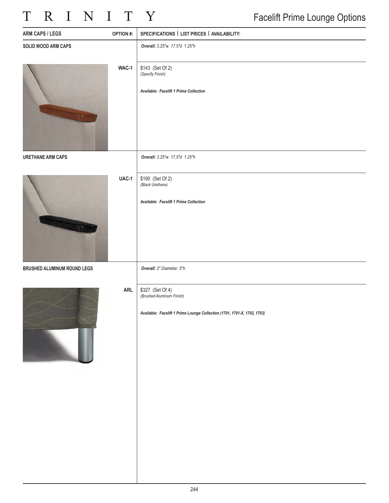# TRINITY

| <b>ARM CAPS / LEGS</b>      | <b>OPTION#:</b> | SPECIFICATIONS   LIST PRICES   AVAILABILITY:                                                                              |
|-----------------------------|-----------------|---------------------------------------------------------------------------------------------------------------------------|
| SOLID WOOD ARM CAPS         |                 | Overall: 3.25"w 17.5"d 1.25"h                                                                                             |
|                             | WAC-1           | \$143 (Set Of 2)<br>(Specify Finish)<br>Available: Facelift 1 Prime Collection                                            |
|                             |                 |                                                                                                                           |
| <b>URETHANE ARM CAPS</b>    |                 | Overall: 3.25"w 17.5"d 1.25"h                                                                                             |
|                             | UAC-1           | \$190 (Set Of 2)<br>(Black Urethane)<br>Available: Facelift 1 Prime Collection                                            |
| BRUSHED ALUMINUM ROUND LEGS |                 | Overall: 2" Diameter 5"h                                                                                                  |
|                             | ARL             | \$327 (Set Of 4)<br>(Brushed Aluminum Finish)<br>Available: Facelift 1 Prime Lounge Collection (1701, 1701-X, 1702, 1703) |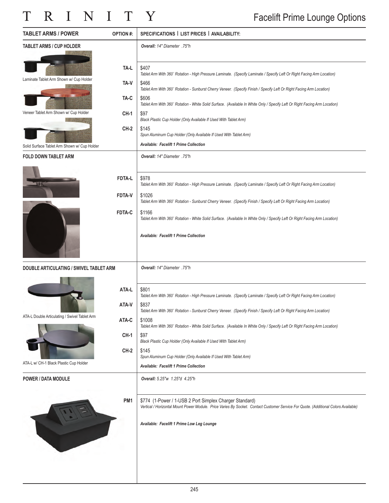| <b>TABLET ARMS / POWER</b>                    | <b>OPTION #:</b> | SPECIFICATIONS   LIST PRICES   AVAILABILITY:                                                                                                                                                   |
|-----------------------------------------------|------------------|------------------------------------------------------------------------------------------------------------------------------------------------------------------------------------------------|
| <b>TABLET ARMS / CUP HOLDER</b>               |                  | Overall: 14" Diameter .75"h                                                                                                                                                                    |
|                                               | TA-L             | \$407<br>Tablet Arm With 360° Rotation - High Pressure Laminate. (Specify Laminate / Specify Left Or Right Facing Arm Location)                                                                |
| Laminate Tablet Arm Shown w/ Cup Holder       | TA-V             | \$466<br>Tablet Arm With 360° Rotation - Sunburst Cherry Veneer. (Specify Finish / Specify Left Or Right Facing Arm Location)                                                                  |
|                                               | TA-C             | \$606<br>Tablet Arm With 360° Rotation - White Solid Surface. (Available In White Only / Specify Left Or Right Facing Arm Location)                                                            |
| Veneer Tablet Arm Shown w/ Cup Holder         | $CH-1$           | \$97<br>Black Plastic Cup Holder (Only Available If Used With Tablet Arm)                                                                                                                      |
|                                               | $CH-2$           | \$145<br>Spun Aluminum Cup Holder (Only Available If Used With Tablet Arm)                                                                                                                     |
| Solid Surface Tablet Arm Shown w/ Cup Holder  |                  | <b>Available: Facelift 1 Prime Collection</b>                                                                                                                                                  |
| <b>FOLD DOWN TABLET ARM</b>                   |                  | Overall: 14" Diameter .75"h                                                                                                                                                                    |
|                                               |                  |                                                                                                                                                                                                |
| LЩ                                            | <b>FDTA-L</b>    | \$978<br>Tablet Arm With 360° Rotation - High Pressure Laminate. (Specify Laminate / Specify Left Or Right Facing Arm Location)                                                                |
|                                               | <b>FDTA-V</b>    | \$1026<br>Tablet Arm With 360° Rotation - Sunburst Cherry Veneer. (Specify Finish / Specify Left Or Right Facing Arm Location)                                                                 |
|                                               | FDTA-C           | \$1166<br>Tablet Arm With 360° Rotation - White Solid Surface. (Available In White Only / Specify Left Or Right Facing Arm Location)                                                           |
|                                               |                  | <b>Available: Facelift 1 Prime Collection</b>                                                                                                                                                  |
|                                               |                  |                                                                                                                                                                                                |
| DOUBLE ARTICULATING / SWIVEL TABLET ARM       |                  | Overall: 14" Diameter .75"h                                                                                                                                                                    |
|                                               |                  |                                                                                                                                                                                                |
|                                               | ATA-L            | \$801<br>Tablet Arm With 360° Rotation - High Pressure Laminate. (Specify Laminate / Specify Left Or Right Facing Arm Location)                                                                |
|                                               | ATA-V            | \$837<br>Tablet Arm With 360° Rotation - Sunburst Cherry Veneer. (Specify Finish / Specify Left Or Right Facing Arm Location)                                                                  |
| ATA-L Double Articulating / Swivel Tablet Arm | ATA-C            | \$1008<br>Tablet Arm With 360° Rotation - White Solid Surface. (Available In White Only / Specify Left Or Right Facing Arm Location)                                                           |
|                                               | $CH-1$           | \$97                                                                                                                                                                                           |
|                                               | $CH-2$           | Black Plastic Cup Holder (Only Available If Used With Tablet Arm)<br>\$145                                                                                                                     |
| ATA-L w/ CH-1 Black Plastic Cup Holder        |                  | Spun Aluminum Cup Holder (Only Available If Used With Tablet Arm)<br>Available: Facelift 1 Prime Collection                                                                                    |
| <b>POWER / DATA MODULE</b>                    |                  | Overall: 5.25"w 1.25"d 4.25"h                                                                                                                                                                  |
|                                               |                  |                                                                                                                                                                                                |
|                                               | PM <sub>1</sub>  | \$774 (1-Power / 1-USB 2 Port Simplex Charger Standard)<br>Vertical / Horizontal Mount Power Module. Price Varies By Socket. Contact Customer Service For Quote. (Additional Colors Available) |
|                                               |                  | Available: Facelift 1 Prime Low Leg Lounge                                                                                                                                                     |
|                                               |                  |                                                                                                                                                                                                |
|                                               |                  |                                                                                                                                                                                                |
|                                               |                  |                                                                                                                                                                                                |